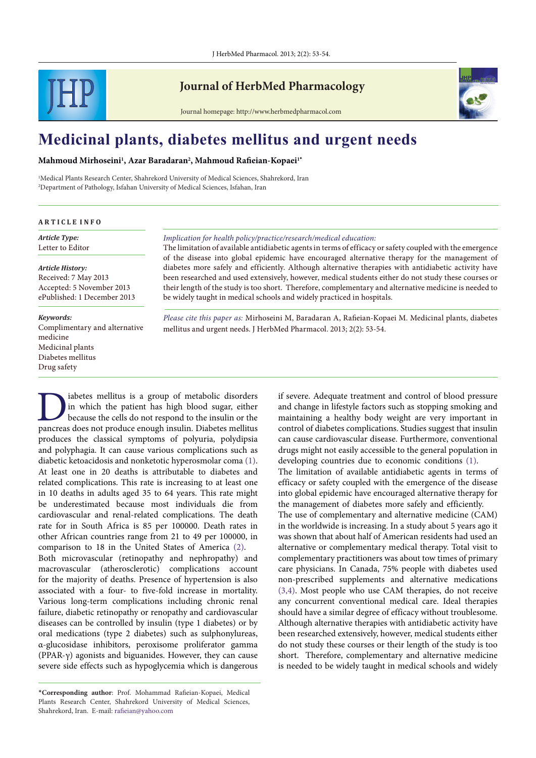

# **Journal of HerbMed Pharmacology**

Journal homepage: http://www.herbmedpharmacol.com

# **Medicinal plants, diabetes mellitus and urgent needs**

#### **Mahmoud Mirhoseini1 , Azar Baradaran2 , Mahmoud Rafieian-Kopaei1\***

1 Medical Plants Research Center, Shahrekord University of Medical Sciences, Shahrekord, Iran 2 Department of Pathology, Isfahan University of Medical Sciences, Isfahan, Iran

#### **A R T I C L E I N F O**

*Article Type:* Letter to Editor

*Article History:* Received: 7 May 2013 Accepted: 5 November 2013 ePublished: 1 December 2013

#### *Keywords:*

Complimentary and alternative medicine Medicinal plants Diabetes mellitus Drug safety

#### *Implication for health policy/practice/research/medical education:*

The limitation of available antidiabetic agents in terms of efficacy or safety coupled with the emergence of the disease into global epidemic have encouraged alternative therapy for the management of diabetes more safely and efficiently. Although alternative therapies with antidiabetic activity have been researched and used extensively, however, medical students either do not study these courses or their length of the study is too short. Therefore, complementary and alternative medicine is needed to be widely taught in medical schools and widely practiced in hospitals.

*Please cite this paper as:* Mirhoseini M, Baradaran A, Rafieian-Kopaei M. Medicinal plants, diabetes mellitus and urgent needs. J HerbMed Pharmacol. 2013; 2(2): 53-54.

Diabetes mellitus is a group of metabolic disorders<br>in which the patient has high blood sugar, either<br>because the cells do not respond to the insulin or the<br>pancreas does not produce enough insulin. Diabetes mellitus in which the patient has high blood sugar, either because the cells do not respond to the insulin or the pancreas does not produce enough insulin. Diabetes mellitus produces the classical symptoms of polyuria, polydipsia and polyphagia. It can cause various complications such as diabetic ketoacidosis and nonketotic hyperosmolar coma ([1\)](#page-1-0). At least one in 20 deaths is attributable to diabetes and related complications. This rate is increasing to at least one in 10 deaths in adults aged 35 to 64 years. This rate might be underestimated because most individuals die from cardiovascular and renal-related complications. The death rate for in South Africa is 85 per 100000. Death rates in other African countries range from 21 to 49 per 100000, in comparison to 18 in the United States of America ([2\)](#page-1-1). Both microvascular (retinopathy and nephropathy) and macrovascular (atherosclerotic) complications account for the majority of deaths. Presence of hypertension is also associated with a four- to five-fold increase in mortality. Various long-term complications including chronic renal

failure, diabetic retinopathy or renopathy and cardiovascular diseases can be controlled by insulin (type 1 diabetes) or by oral medications (type 2 diabetes) such as sulphonylureas, α-glucosidase inhibitors, peroxisome proliferator gamma (PPAR-γ) agonists and biguanides. However, they can cause severe side effects such as hypoglycemia which is dangerous if severe. Adequate treatment and control of blood pressure and change in lifestyle factors such as stopping smoking and maintaining a healthy body weight are very important in control of diabetes complications. Studies suggest that insulin can cause cardiovascular disease. Furthermore, conventional drugs might not easily accessible to the general population in developing countries due to economic conditions [\(1\)](#page-1-0).

The limitation of available antidiabetic agents in terms of efficacy or safety coupled with the emergence of the disease into global epidemic have encouraged alternative therapy for the management of diabetes more safely and efficiently.

The use of complementary and alternative medicine (CAM) in the worldwide is increasing. In a study about 5 years ago it was shown that about half of American residents had used an alternative or complementary medical therapy. Total visit to complementary practitioners was about tow times of primary care physicians. In Canada, 75% people with diabetes used non-prescribed supplements and alternative medications [\(3](#page-1-2),[4](#page-1-3)). Most people who use CAM therapies, do not receive any concurrent conventional medical care. Ideal therapies should have a similar degree of efficacy without troublesome. Although alternative therapies with antidiabetic activity have been researched extensively, however, medical students either do not study these courses or their length of the study is too short. Therefore, complementary and alternative medicine is needed to be widely taught in medical schools and widely

<sup>\*</sup>**Corresponding author**: Prof. Mohammad Rafieian-Kopaei, Medical Plants Research Center, Shahrekord University of Medical Sciences, Shahrekord, Iran. E-mail: rafieian@yahoo.com